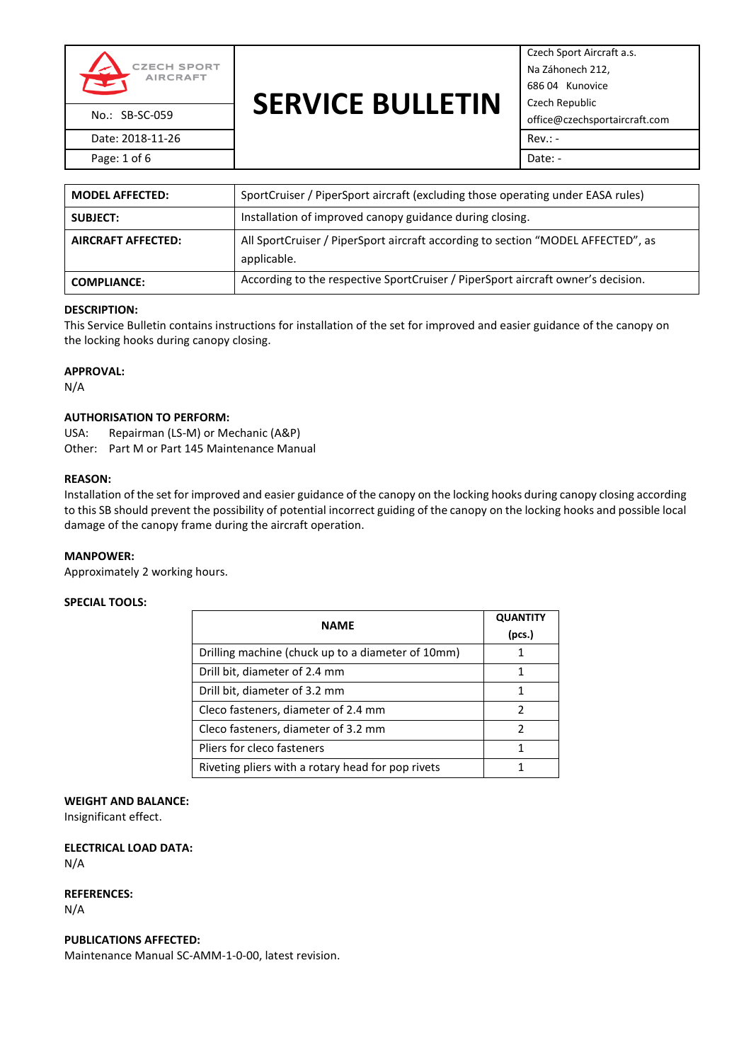

## **SERVICE BULLETIN** No.: SB-SC-059 **OLIVICL DULLL**IIIV office@czechsportaircraft.com

Czech Sport Aircraft a.s. Na Záhonech 212, 686 04 Kunovice Czech Republic Page: 1 of 6 Date: -

| <b>MODEL AFFECTED:</b>    | SportCruiser / PiperSport aircraft (excluding those operating under EASA rules)                 |  |
|---------------------------|-------------------------------------------------------------------------------------------------|--|
| <b>SUBJECT:</b>           | Installation of improved canopy guidance during closing.                                        |  |
| <b>AIRCRAFT AFFECTED:</b> | All SportCruiser / PiperSport aircraft according to section "MODEL AFFECTED", as<br>applicable. |  |
| <b>COMPLIANCE:</b>        | According to the respective SportCruiser / PiperSport aircraft owner's decision.                |  |

#### **DESCRIPTION:**

This Service Bulletin contains instructions for installation of the set for improved and easier guidance of the canopy on the locking hooks during canopy closing.

#### **APPROVAL:**

N/A

#### **AUTHORISATION TO PERFORM:**

USA: Repairman (LS-M) or Mechanic (A&P) Other: Part M or Part 145 Maintenance Manual

#### **REASON:**

Installation of the set for improved and easier guidance of the canopy on the locking hooks during canopy closing according to this SB should prevent the possibility of potential incorrect guiding of the canopy on the locking hooks and possible local damage of the canopy frame during the aircraft operation.

#### **MANPOWER:**

Approximately 2 working hours.

#### **SPECIAL TOOLS:**

| <b>NAME</b>                                       | <b>QUANTITY</b> |
|---------------------------------------------------|-----------------|
|                                                   | (pcs.)          |
| Drilling machine (chuck up to a diameter of 10mm) |                 |
| Drill bit, diameter of 2.4 mm                     |                 |
| Drill bit, diameter of 3.2 mm                     |                 |
| Cleco fasteners, diameter of 2.4 mm               |                 |
| Cleco fasteners, diameter of 3.2 mm               |                 |
| Pliers for cleco fasteners                        |                 |
| Riveting pliers with a rotary head for pop rivets |                 |

#### **WEIGHT AND BALANCE:**

Insignificant effect.

**ELECTRICAL LOAD DATA:** N/A

**REFERENCES:**

N/A

#### **PUBLICATIONS AFFECTED:**

Maintenance Manual SC-AMM-1-0-00, latest revision.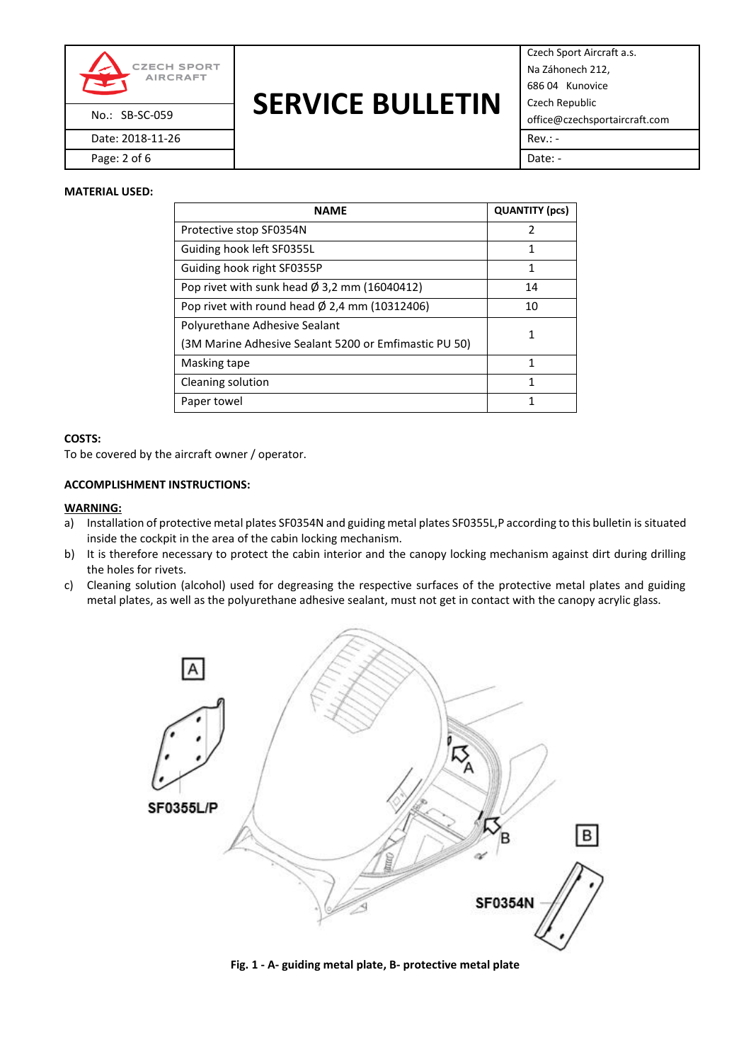

## **SERVICE BULLETIN** No.: SB-SC-059 office@czechsportaircraft.com

Czech Sport Aircraft a.s. Na Záhonech 212, 686 04 Kunovice Czech Republic Page: 2 of 6 Date: -

### **MATERIAL USED:**

| <b>NAME</b>                                              | <b>QUANTITY (pcs)</b> |
|----------------------------------------------------------|-----------------------|
| Protective stop SF0354N                                  | 2                     |
| Guiding hook left SF0355L                                | 1                     |
| Guiding hook right SF0355P                               | 1                     |
| Pop rivet with sunk head $\varnothing$ 3,2 mm (16040412) | 14                    |
| Pop rivet with round head $\phi$ 2,4 mm (10312406)       | 10                    |
| Polyurethane Adhesive Sealant                            |                       |
| (3M Marine Adhesive Sealant 5200 or Emfimastic PU 50)    |                       |
| Masking tape                                             | 1                     |
| Cleaning solution                                        | 1                     |
| Paper towel                                              | 1                     |

#### **COSTS:**

To be covered by the aircraft owner / operator.

#### **ACCOMPLISHMENT INSTRUCTIONS:**

#### **WARNING:**

- a) Installation of protective metal plates SF0354N and guiding metal plates SF0355L,P according to this bulletin is situated inside the cockpit in the area of the cabin locking mechanism.
- b) It is therefore necessary to protect the cabin interior and the canopy locking mechanism against dirt during drilling the holes for rivets.
- c) Cleaning solution (alcohol) used for degreasing the respective surfaces of the protective metal plates and guiding metal plates, as well as the polyurethane adhesive sealant, must not get in contact with the canopy acrylic glass.



**Fig. 1 - A- guiding metal plate, B- protective metal plate**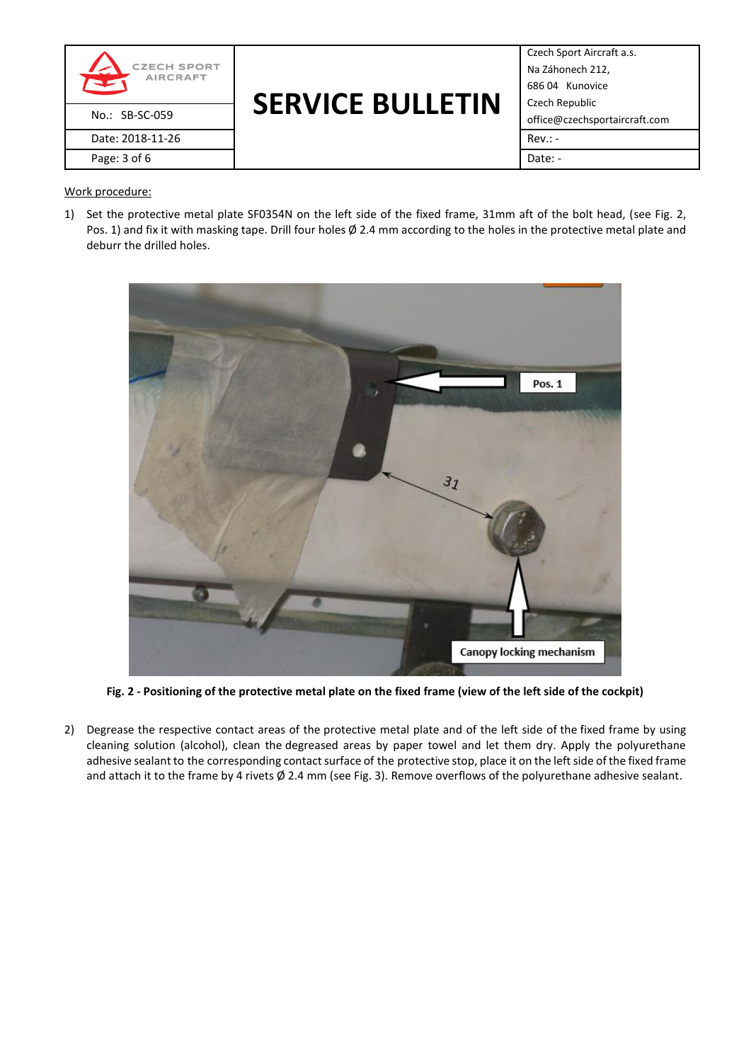

## **SERVICE BULLETIN** No.: SB-SC-059 office@czechsportaircraft.com

Czech Sport Aircraft a.s. Na Záhonech 212, 686 04 Kunovice Czech Republic

## Work procedure:

1) Set the protective metal plate SF0354N on the left side of the fixed frame, 31mm aft of the bolt head, (see Fig. 2, Pos. 1) and fix it with masking tape. Drill four holes  $\emptyset$  2.4 mm according to the holes in the protective metal plate and deburr the drilled holes.



**Fig. 2 - Positioning of the protective metal plate on the fixed frame (view of the left side of the cockpit)**

2) Degrease the respective contact areas of the protective metal plate and of the left side of the fixed frame by using cleaning solution (alcohol), clean the degreased areas by paper towel and let them dry. Apply the polyurethane adhesive sealant to the corresponding contact surface of the protective stop, place it on the left side of the fixed frame and attach it to the frame by 4 rivets Ø 2.4 mm (see Fig. 3). Remove overflows of the polyurethane adhesive sealant.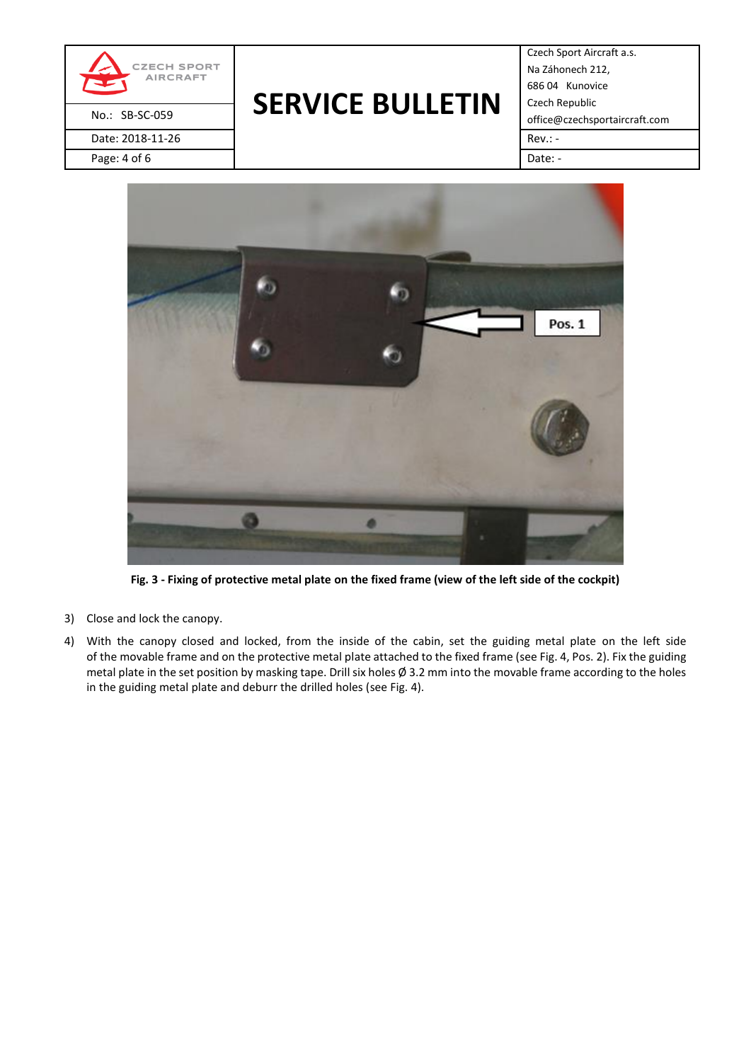

# **SERVICE BULLETIN** No.: SB-SC-059 **OLIVICL DULLL**IIIV office@czechsportaircraft.com

Czech Sport Aircraft a.s. Na Záhonech 212, 686 04 Kunovice Czech Republic



**Fig. 3 - Fixing of protective metal plate on the fixed frame (view of the left side of the cockpit)**

- 3) Close and lock the canopy.
- 4) With the canopy closed and locked, from the inside of the cabin, set the guiding metal plate on the left side of the movable frame and on the protective metal plate attached to the fixed frame (see Fig. 4, Pos. 2). Fix the guiding metal plate in the set position by masking tape. Drill six holes Ø 3.2 mm into the movable frame according to the holes in the guiding metal plate and deburr the drilled holes (see Fig. 4).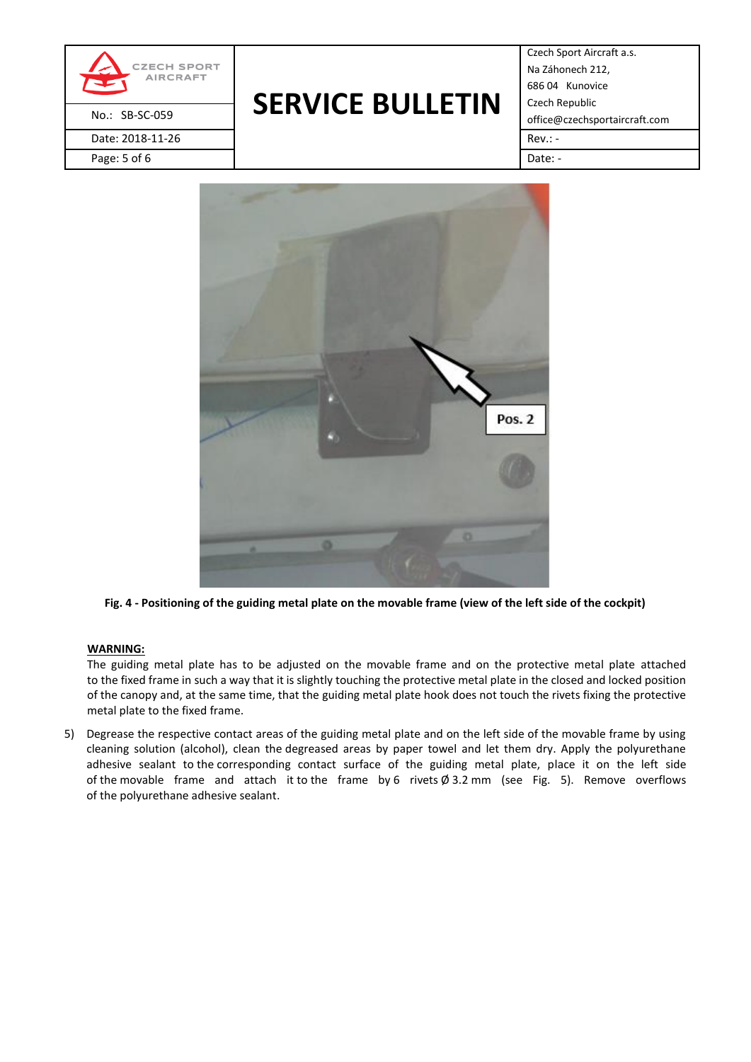

# **SERVICE BULLETIN** No.: SB-SC-059 **OLIVICL DULLL**IIIV office@czechsportaircraft.com

Czech Sport Aircraft a.s. Na Záhonech 212, 686 04 Kunovice Czech Republic



**Fig. 4 - Positioning of the guiding metal plate on the movable frame (view of the left side of the cockpit)**

## **WARNING:**

The guiding metal plate has to be adjusted on the movable frame and on the protective metal plate attached to the fixed frame in such a way that it is slightly touching the protective metal plate in the closed and locked position of the canopy and, at the same time, that the guiding metal plate hook does not touch the rivets fixing the protective metal plate to the fixed frame.

5) Degrease the respective contact areas of the guiding metal plate and on the left side of the movable frame by using cleaning solution (alcohol), clean the degreased areas by paper towel and let them dry. Apply the polyurethane adhesive sealant to the corresponding contact surface of the guiding metal plate, place it on the left side of the movable frame and attach it to the frame by 6 rivets  $\emptyset$  3.2 mm (see Fig. 5). Remove overflows of the polyurethane adhesive sealant.